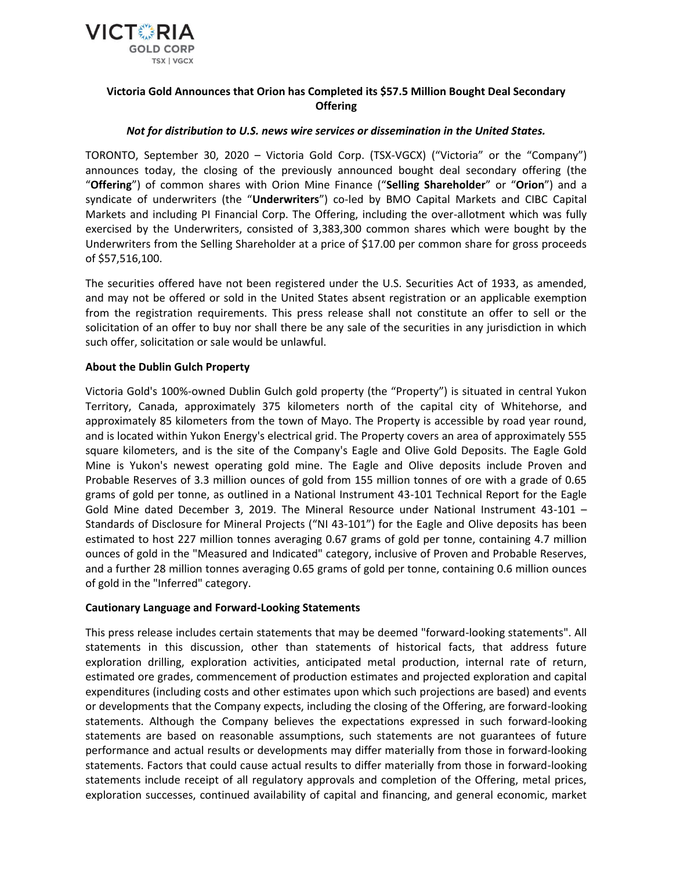

# **Victoria Gold Announces that Orion has Completed its \$57.5 Million Bought Deal Secondary Offering**

## *Not for distribution to U.S. news wire services or dissemination in the United States.*

TORONTO, September 30, 2020 – Victoria Gold Corp. (TSX-VGCX) ("Victoria" or the "Company") announces today, the closing of the previously announced bought deal secondary offering (the "**Offering**") of common shares with Orion Mine Finance ("**Selling Shareholder**" or "**Orion**") and a syndicate of underwriters (the "**Underwriters**") co-led by BMO Capital Markets and CIBC Capital Markets and including PI Financial Corp. The Offering, including the over-allotment which was fully exercised by the Underwriters, consisted of 3,383,300 common shares which were bought by the Underwriters from the Selling Shareholder at a price of \$17.00 per common share for gross proceeds of \$57,516,100.

The securities offered have not been registered under the U.S. Securities Act of 1933, as amended, and may not be offered or sold in the United States absent registration or an applicable exemption from the registration requirements. This press release shall not constitute an offer to sell or the solicitation of an offer to buy nor shall there be any sale of the securities in any jurisdiction in which such offer, solicitation or sale would be unlawful.

### **About the Dublin Gulch Property**

Victoria Gold's 100%-owned Dublin Gulch gold property (the "Property") is situated in central Yukon Territory, Canada, approximately 375 kilometers north of the capital city of Whitehorse, and approximately 85 kilometers from the town of Mayo. The Property is accessible by road year round, and is located within Yukon Energy's electrical grid. The Property covers an area of approximately 555 square kilometers, and is the site of the Company's Eagle and Olive Gold Deposits. The Eagle Gold Mine is Yukon's newest operating gold mine. The Eagle and Olive deposits include Proven and Probable Reserves of 3.3 million ounces of gold from 155 million tonnes of ore with a grade of 0.65 grams of gold per tonne, as outlined in a National Instrument 43-101 Technical Report for the Eagle Gold Mine dated December 3, 2019. The Mineral Resource under National Instrument 43-101 – Standards of Disclosure for Mineral Projects ("NI 43-101") for the Eagle and Olive deposits has been estimated to host 227 million tonnes averaging 0.67 grams of gold per tonne, containing 4.7 million ounces of gold in the "Measured and Indicated" category, inclusive of Proven and Probable Reserves, and a further 28 million tonnes averaging 0.65 grams of gold per tonne, containing 0.6 million ounces of gold in the "Inferred" category.

#### **Cautionary Language and Forward-Looking Statements**

This press release includes certain statements that may be deemed "forward-looking statements". All statements in this discussion, other than statements of historical facts, that address future exploration drilling, exploration activities, anticipated metal production, internal rate of return, estimated ore grades, commencement of production estimates and projected exploration and capital expenditures (including costs and other estimates upon which such projections are based) and events or developments that the Company expects, including the closing of the Offering, are forward-looking statements. Although the Company believes the expectations expressed in such forward-looking statements are based on reasonable assumptions, such statements are not guarantees of future performance and actual results or developments may differ materially from those in forward-looking statements. Factors that could cause actual results to differ materially from those in forward-looking statements include receipt of all regulatory approvals and completion of the Offering, metal prices, exploration successes, continued availability of capital and financing, and general economic, market